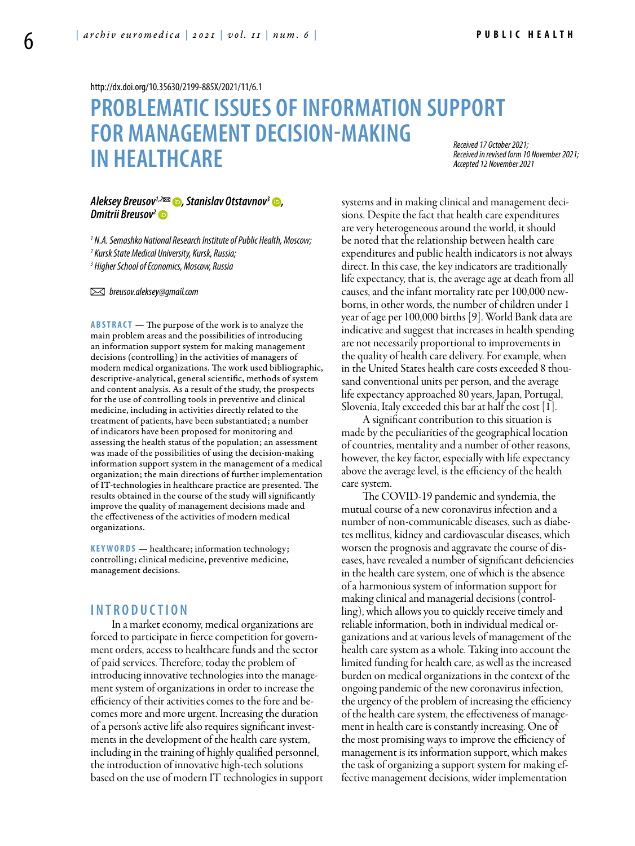<http://dx.doi.org/10.35630/2199-885X/2021/11/6.1>

# **PROBLEMATIC ISSUES OF INFORMATION SUPPORT FOR MANAGEMENT DECISION-MAKING IN HEALTHCARE**

*Received 17 October 2021; Received in revised form 10 November 2021; Accepted 12 November 2021*

### *Aleksey Breusov*<sup>1,2</sup><sup>2</sup> **(b)**, [Stanislav Otstavnov](https://orcid.org/0000-0003-2043-495X)<sup>3</sup> **(b)**, *[Dmitrii Breusov2](https://orcid.org/0000-0002-4521-0445)*

*1 N.A. Semashko National Research Institute of Public Health, Moscow; 2 Kursk State Medical University, Kursk, Russia; 3 Higher School of Economics, Moscow, Russia* 

 *breusov.aleksey@gmail.com* 

**ABSTRACT** — The purpose of the work is to analyze the main problem areas and the possibilities of introducing an information support system for making management decisions (controlling) in the activities of managers of modern medical organizations. The work used bibliographic, descriptive-analytical, general scientific, methods of system and content analysis. As a result of the study, the prospects for the use of controlling tools in preventive and clinical medicine, including in activities directly related to the treatment of patients, have been substantiated; a number of indicators have been proposed for monitoring and assessing the health status of the population; an assessment was made of the possibilities of using the decision-making information support system in the management of a medical organization; the main directions of further implementation of IT-technologies in healthcare practice are presented. The results obtained in the course of the study will significantly improve the quality of management decisions made and the effectiveness of the activities of modern medical organizations.

**KEYWORDS** — healthcare; information technology; controlling; clinical medicine, preventive medicine, management decisions.

## **I n t r o d uct i o n**

In a market economy, medical organizations are forced to participate in fierce competition for government orders, access to healthcare funds and the sector of paid services. Therefore, today the problem of introducing innovative technologies into the management system of organizations in order to increase the efficiency of their activities comes to the fore and becomes more and more urgent. Increasing the duration of a person's active life also requires significant investments in the development of the health care system, including in the training of highly qualified personnel, the introduction of innovative high-tech solutions based on the use of modern IT technologies in support systems and in making clinical and management decisions. Despite the fact that health care expenditures are very heterogeneous around the world, it should be noted that the relationship between health care expenditures and public health indicators is not always direct. In this case, the key indicators are traditionally life expectancy, that is, the average age at death from all causes, and the infant mortality rate per 100,000 newborns, in other words, the number of children under 1 year of age per 100,000 births [9]. World Bank data are indicative and suggest that increases in health spending are not necessarily proportional to improvements in the quality of health care delivery. For example, when in the United States health care costs exceeded 8 thousand conventional units per person, and the average life expectancy approached 80 years, Japan, Portugal, Slovenia, Italy exceeded this bar at half the cost [1].

A significant contribution to this situation is made by the peculiarities of the geographical location of countries, mentality and a number of other reasons, however, the key factor, especially with life expectancy above the average level, is the efficiency of the health care system.

The COVID-19 pandemic and syndemia, the mutual course of a new coronavirus infection and a number of non-communicable diseases, such as diabetes mellitus, kidney and cardiovascular diseases, which worsen the prognosis and aggravate the course of diseases, have revealed a number of significant deficiencies in the health care system, one of which is the absence of a harmonious system of information support for making clinical and managerial decisions (controlling), which allows you to quickly receive timely and reliable information, both in individual medical organizations and at various levels of management of the health care system as a whole. Taking into account the limited funding for health care, as well as the increased burden on medical organizations in the context of the ongoing pandemic of the new coronavirus infection, the urgency of the problem of increasing the efficiency of the health care system, the effectiveness of management in health care is constantly increasing. One of the most promising ways to improve the efficiency of management is its information support, which makes the task of organizing a support system for making effective management decisions, wider implementation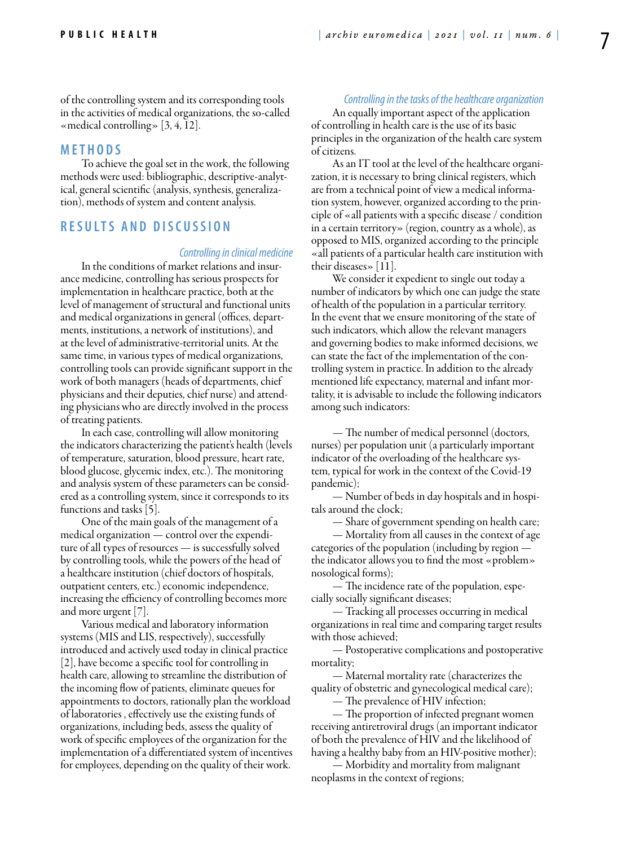of the controlling system and its corresponding tools in the activities of medical organizations, the so-called «medical controlling» [3, 4, 12].

## **MET H ODS**

To achieve the goal set in the work, the following methods were used: bibliographic, descriptive-analytical, general scientific (analysis, synthesis, generalization), methods of system and content analysis.

## **RES U LTS AND DISC U SSION**

#### *Controlling in clinical medicine*

In the conditions of market relations and insurance medicine, controlling has serious prospects for implementation in healthcare practice, both at the level of management of structural and functional units and medical organizations in general (offices, departments, institutions, a network of institutions), and at the level of administrative-territorial units. At the same time, in various types of medical organizations, controlling tools can provide significant support in the work of both managers (heads of departments, chief physicians and their deputies, chief nurse) and attending physicians who are directly involved in the process of treating patients.

In each case, controlling will allow monitoring the indicators characterizing the patient's health (levels of temperature, saturation, blood pressure, heart rate, blood glucose, glycemic index, etc.). The monitoring and analysis system of these parameters can be considered as a controlling system, since it corresponds to its functions and tasks [5].

One of the main goals of the management of a medical organization — control over the expenditure of all types of resources — is successfully solved by controlling tools, while the powers of the head of a healthcare institution (chief doctors of hospitals, outpatient centers, etc.) economic independence, increasing the efficiency of controlling becomes more and more urgent [7].

Various medical and laboratory information systems (MIS and LIS, respectively), successfully introduced and actively used today in clinical practice [2], have become a specific tool for controlling in health care, allowing to streamline the distribution of the incoming flow of patients, eliminate queues for appointments to doctors, rationally plan the workload of laboratories , effectively use the existing funds of organizations, including beds, assess the quality of work of specific employees of the organization for the implementation of a differentiated system of incentives for employees, depending on the quality of their work.

*Controlling in the tasks of the healthcare organization* An equally important aspect of the application of controlling in health care is the use of its basic principles in the organization of the health care system of citizens.

As an IT tool at the level of the healthcare organization, it is necessary to bring clinical registers, which are from a technical point of view a medical information system, however, organized according to the principle of «all patients with a specific disease / condition in a certain territory» (region, country as a whole), as opposed to MIS, organized according to the principle «all patients of a particular health care institution with their diseases»  $|11|$ .

We consider it expedient to single out today a number of indicators by which one can judge the state of health of the population in a particular territory. In the event that we ensure monitoring of the state of such indicators, which allow the relevant managers and governing bodies to make informed decisions, we can state the fact of the implementation of the controlling system in practice. In addition to the already mentioned life expectancy, maternal and infant mortality, it is advisable to include the following indicators among such indicators:

— The number of medical personnel (doctors, nurses) per population unit (a particularly important indicator of the overloading of the healthcare system, typical for work in the context of the Covid-19 pandemic);

— Number of beds in day hospitals and in hospitals around the clock;

— Share of government spending on health care;

— Mortality from all causes in the context of age categories of the population (including by region the indicator allows you to find the most «problem» nosological forms);

— The incidence rate of the population, especially socially significant diseases;

— Tracking all processes occurring in medical organizations in real time and comparing target results with those achieved;

— Postoperative complications and postoperative mortality;

— Maternal mortality rate (characterizes the quality of obstetric and gynecological medical care);

— The prevalence of HIV infection;

— The proportion of infected pregnant women receiving antiretroviral drugs (an important indicator of both the prevalence of HIV and the likelihood of having a healthy baby from an HIV-positive mother);

— Morbidity and mortality from malignant neoplasms in the context of regions;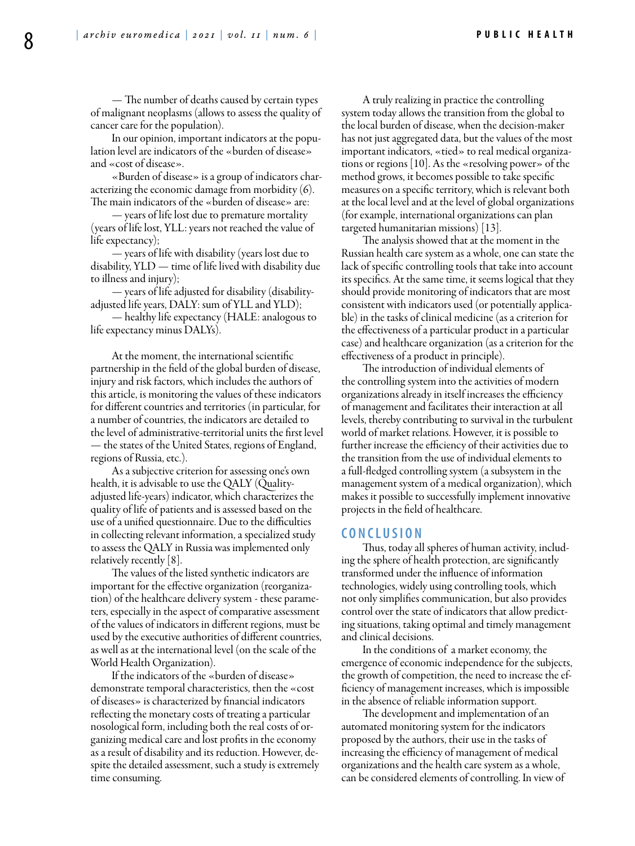— The number of deaths caused by certain types of malignant neoplasms (allows to assess the quality of cancer care for the population).

In our opinion, important indicators at the population level are indicators of the «burden of disease» and «cost of disease».

«Burden of disease» is a group of indicators characterizing the economic damage from morbidity  $(6)$ . The main indicators of the «burden of disease» are:

— years of life lost due to premature mortality (years of life lost, YLL: years not reached the value of life expectancy);

— years of life with disability (years lost due to disability, YLD — time of life lived with disability due to illness and injury);

— years of life adjusted for disability (disabilityadjusted life years, DALY: sum of YLL and YLD);

— healthy life expectancy (HALE: analogous to life expectancy minus DALYs).

At the moment, the international scientific partnership in the field of the global burden of disease, injury and risk factors, which includes the authors of this article, is monitoring the values of these indicators for different countries and territories (in particular, for a number of countries, the indicators are detailed to the level of administrative-territorial units the first level — the states of the United States, regions of England, regions of Russia, etc.).

As a subjective criterion for assessing one's own health, it is advisable to use the QALY (Qualityadjusted life-years) indicator, which characterizes the quality of life of patients and is assessed based on the use of a unified questionnaire. Due to the difficulties in collecting relevant information, a specialized study to assess the QALY in Russia was implemented only relatively recently [8].

The values of the listed synthetic indicators are important for the effective organization (reorganization) of the healthcare delivery system - these parameters, especially in the aspect of comparative assessment of the values of indicators in different regions, must be used by the executive authorities of different countries, as well as at the international level (on the scale of the World Health Organization).

If the indicators of the «burden of disease» demonstrate temporal characteristics, then the «cost of diseases» is characterized by financial indicators reflecting the monetary costs of treating a particular nosological form, including both the real costs of organizing medical care and lost profits in the economy as a result of disability and its reduction. However, despite the detailed assessment, such a study is extremely time consuming.

A truly realizing in practice the controlling system today allows the transition from the global to the local burden of disease, when the decision-maker has not just aggregated data, but the values of the most important indicators, «tied» to real medical organizations or regions [10]. As the «resolving power» of the method grows, it becomes possible to take specific measures on a specific territory, which is relevant both at the local level and at the level of global organizations (for example, international organizations can plan targeted humanitarian missions) [13].

The analysis showed that at the moment in the Russian health care system as a whole, one can state the lack of specific controlling tools that take into account its specifics. At the same time, it seems logical that they should provide monitoring of indicators that are most consistent with indicators used (or potentially applicable) in the tasks of clinical medicine (as a criterion for the effectiveness of a particular product in a particular case) and healthcare organization (as a criterion for the effectiveness of a product in principle).

The introduction of individual elements of the controlling system into the activities of modern organizations already in itself increases the efficiency of management and facilitates their interaction at all levels, thereby contributing to survival in the turbulent world of market relations. However, it is possible to further increase the efficiency of their activities due to the transition from the use of individual elements to a full-fledged controlling system (a subsystem in the management system of a medical organization), which makes it possible to successfully implement innovative projects in the field of healthcare.

#### **C ON CL U SION**

Thus, today all spheres of human activity, including the sphere of health protection, are significantly transformed under the influence of information technologies, widely using controlling tools, which not only simplifies communication, but also provides control over the state of indicators that allow predicting situations, taking optimal and timely management and clinical decisions.

In the conditions of a market economy, the emergence of economic independence for the subjects, the growth of competition, the need to increase the efficiency of management increases, which is impossible in the absence of reliable information support.

The development and implementation of an automated monitoring system for the indicators proposed by the authors, their use in the tasks of increasing the efficiency of management of medical organizations and the health care system as a whole, can be considered elements of controlling. In view of